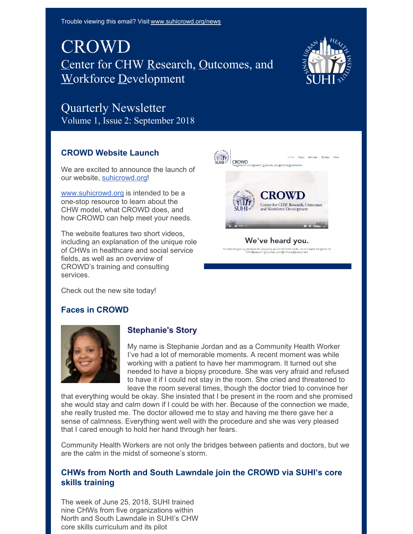Trouble viewing this email? Visit [www.suhicrowd.org/news](http://www.suhicrowd.org/news)

## CROWD Center for CHW Research, Outcomes, and Workforce Development



# Quarterly Newsletter

Volume 1, Issue 2: September 2018

### **CROWD Website Launch**

We are excited to announce the launch of our website, [suhicrowd.org](https://www.suhicrowd.org/)!

[www.suhicrowd.org](http://www.suhicrowd.org) is intended to be a one-stop resource to learn about the CHW model, what CROWD does, and how CROWD can help meet your needs.

The website features two short videos, including an explanation of the unique role of CHWs in healthcare and social service fields, as well as an overview of CROWD's training and consulting services.



We've heard you.

Check out the new site today!

#### **Faces in CROWD**



#### **Stephanie's Story**

My name is Stephanie Jordan and as a Community Health Worker I've had a lot of memorable moments. A recent moment was while working with a patient to have her mammogram. It turned out she needed to have a biopsy procedure. She was very afraid and refused to have it if I could not stay in the room. She cried and threatened to leave the room several times, though the doctor tried to convince her

that everything would be okay. She insisted that I be present in the room and she promised she would stay and calm down if I could be with her. Because of the connection we made, she really trusted me. The doctor allowed me to stay and having me there gave her a sense of calmness. Everything went well with the procedure and she was very pleased that I cared enough to hold her hand through her fears.

Community Health Workers are not only the bridges between patients and doctors, but we are the calm in the midst of someone's storm.

#### **CHWs from North and South Lawndale join the CROWD via SUHI's core skills training**

The week of June 25, 2018, SUHI trained nine CHWs from five organizations within North and South Lawndale in SUHI's CHW core skills curriculum and its pilot